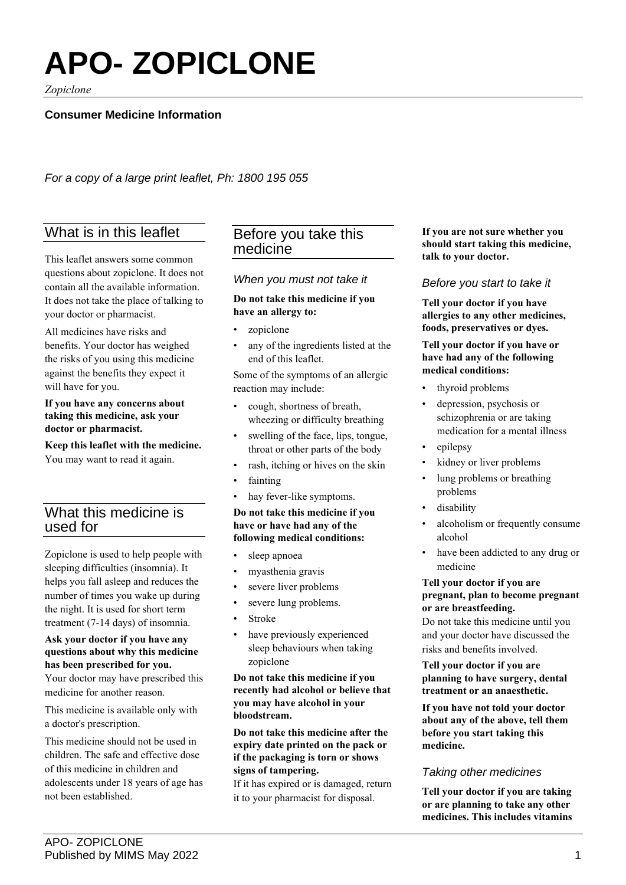# **APO- ZOPICLONE**

*Zopiclone*

# **Consumer Medicine Information**

*For a copy of a large print leaflet, Ph: 1800 195 055*

# What is in this leaflet

This leaflet answers some common questions about zopiclone. It does not contain all the available information. It does not take the place of talking to your doctor or pharmacist.

All medicines have risks and benefits. Your doctor has weighed the risks of you using this medicine against the benefits they expect it will have for you.

#### **If you have any concerns about taking this medicine, ask your doctor or pharmacist.**

**Keep this leaflet with the medicine.**

You may want to read it again.

# What this medicine is used for

Zopiclone is used to help people with sleeping difficulties (insomnia). It helps you fall asleep and reduces the number of times you wake up during the night. It is used for short term treatment (7-14 days) of insomnia.

# **Ask your doctor if you have any questions about why this medicine has been prescribed for you.**

Your doctor may have prescribed this medicine for another reason.

This medicine is available only with a doctor's prescription.

This medicine should not be used in children. The safe and effective dose of this medicine in children and adolescents under 18 years of age has not been established.

# Before you take this medicine

## *When you must not take it*

## **Do not take this medicine if you have an allergy to:**

- zopiclone
- any of the ingredients listed at the end of this leaflet.

Some of the symptoms of an allergic reaction may include:

- cough, shortness of breath, wheezing or difficulty breathing
- swelling of the face, lips, tongue, throat or other parts of the body
- rash, itching or hives on the skin
- fainting
- hay fever-like symptoms.

## **Do not take this medicine if you have or have had any of the following medical conditions:**

- sleep apnoea
- myasthenia gravis
- severe liver problems
- severe lung problems.
- Stroke
- have previously experienced sleep behaviours when taking zopiclone

## **Do not take this medicine if you recently had alcohol or believe that you may have alcohol in your bloodstream.**

**Do not take this medicine after the expiry date printed on the pack or if the packaging is torn or shows signs of tampering.**

If it has expired or is damaged, return it to your pharmacist for disposal.

**If you are not sure whether you should start taking this medicine, talk to your doctor.**

## *Before you start to take it*

**Tell your doctor if you have allergies to any other medicines, foods, preservatives or dyes.**

#### **Tell your doctor if you have or have had any of the following medical conditions:**

- thyroid problems
- depression, psychosis or schizophrenia or are taking medication for a mental illness
- epilepsy
- kidney or liver problems
- lung problems or breathing problems
- disability
- alcoholism or frequently consume alcohol
- have been addicted to any drug or medicine

#### **Tell your doctor if you are pregnant, plan to become pregnant or are breastfeeding.**

Do not take this medicine until you and your doctor have discussed the risks and benefits involved.

**Tell your doctor if you are planning to have surgery, dental treatment or an anaesthetic.**

**If you have not told your doctor about any of the above, tell them before you start taking this medicine.**

# *Taking other medicines*

**Tell your doctor if you are taking or are planning to take any other medicines. This includes vitamins**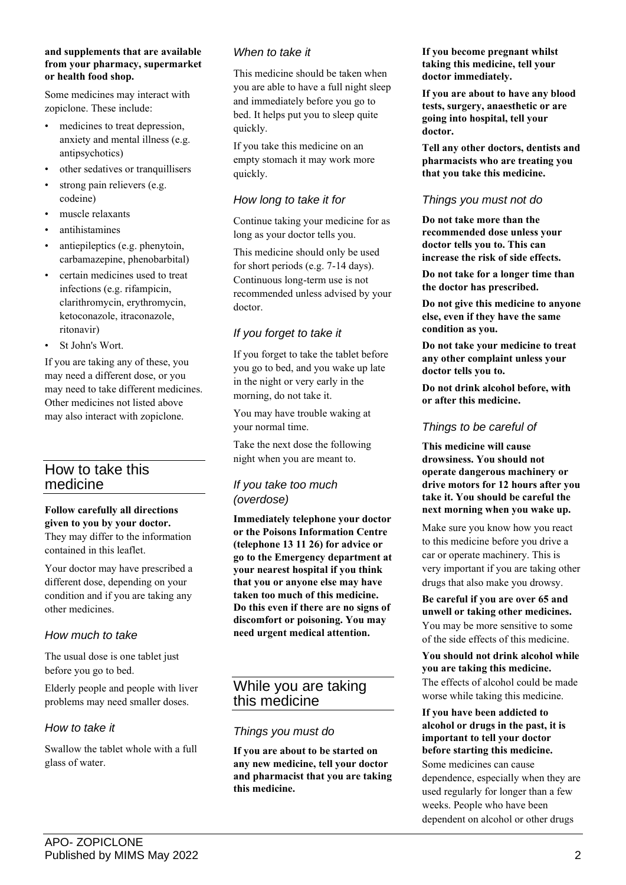#### **and supplements that are available from your pharmacy, supermarket or health food shop.**

Some medicines may interact with zopiclone. These include:

- medicines to treat depression, anxiety and mental illness (e.g. antipsychotics)
- other sedatives or tranquillisers
- strong pain relievers (e.g. codeine)
- muscle relaxants
- antihistamines
- antiepileptics (e.g. phenytoin, carbamazepine, phenobarbital)
- certain medicines used to treat infections (e.g. rifampicin, clarithromycin, erythromycin, ketoconazole, itraconazole, ritonavir)
- St John's Wort.

If you are taking any of these, you may need a different dose, or you may need to take different medicines. Other medicines not listed above may also interact with zopiclone.

# How to take this medicine

#### **Follow carefully all directions given to you by your doctor.**

They may differ to the information contained in this leaflet.

Your doctor may have prescribed a different dose, depending on your condition and if you are taking any other medicines.

# *How much to take*

The usual dose is one tablet just before you go to bed.

Elderly people and people with liver problems may need smaller doses.

## *How to take it*

Swallow the tablet whole with a full glass of water.

## *When to take it*

This medicine should be taken when you are able to have a full night sleep and immediately before you go to bed. It helps put you to sleep quite quickly.

If you take this medicine on an empty stomach it may work more quickly.

## *How long to take it for*

Continue taking your medicine for as long as your doctor tells you.

This medicine should only be used for short periods (e.g. 7-14 days). Continuous long-term use is not recommended unless advised by your doctor.

# *If you forget to take it*

If you forget to take the tablet before you go to bed, and you wake up late in the night or very early in the morning, do not take it.

You may have trouble waking at your normal time.

Take the next dose the following night when you are meant to.

## *If you take too much (overdose)*

**Immediately telephone your doctor or the Poisons Information Centre (telephone 13 11 26) for advice or go to the Emergency department at your nearest hospital if you think that you or anyone else may have taken too much of this medicine. Do this even if there are no signs of discomfort or poisoning. You may need urgent medical attention.**

# While you are taking this medicine

## *Things you must do*

**If you are about to be started on any new medicine, tell your doctor and pharmacist that you are taking this medicine.**

**If you become pregnant whilst taking this medicine, tell your doctor immediately.**

**If you are about to have any blood tests, surgery, anaesthetic or are going into hospital, tell your doctor.**

**Tell any other doctors, dentists and pharmacists who are treating you that you take this medicine.**

## *Things you must not do*

**Do not take more than the recommended dose unless your doctor tells you to. This can increase the risk of side effects.**

**Do not take for a longer time than the doctor has prescribed.**

**Do not give this medicine to anyone else, even if they have the same condition as you.**

**Do not take your medicine to treat any other complaint unless your doctor tells you to.**

**Do not drink alcohol before, with or after this medicine.**

# *Things to be careful of*

**This medicine will cause drowsiness. You should not operate dangerous machinery or drive motors for 12 hours after you take it. You should be careful the next morning when you wake up.**

Make sure you know how you react to this medicine before you drive a car or operate machinery. This is very important if you are taking other drugs that also make you drowsy.

**Be careful if you are over 65 and unwell or taking other medicines.** You may be more sensitive to some of the side effects of this medicine.

## **You should not drink alcohol while you are taking this medicine.** The effects of alcohol could be made worse while taking this medicine.

**If you have been addicted to alcohol or drugs in the past, it is important to tell your doctor before starting this medicine.** Some medicines can cause dependence, especially when they are used regularly for longer than a few weeks. People who have been dependent on alcohol or other drugs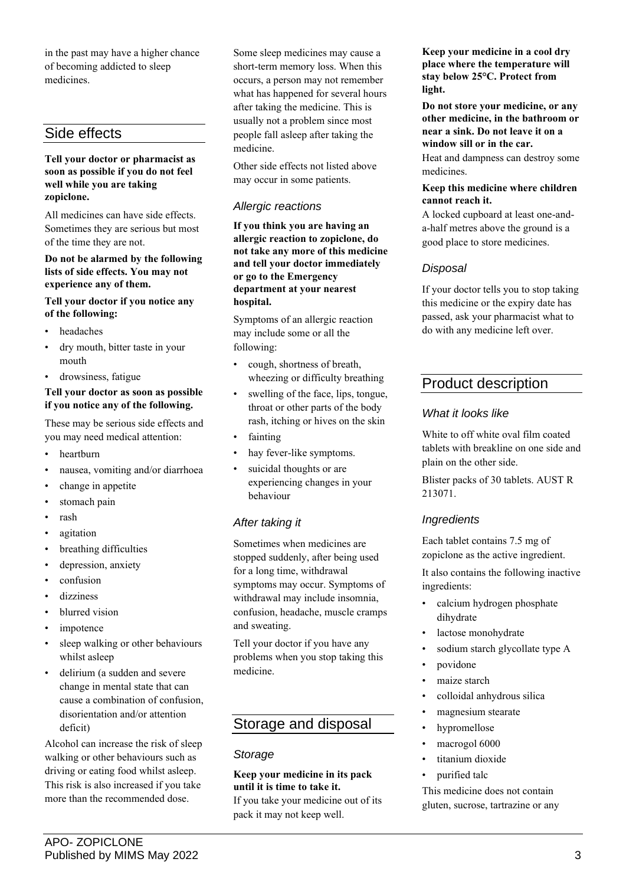in the past may have a higher chance of becoming addicted to sleep medicines.

# Side effects

#### **Tell your doctor or pharmacist as soon as possible if you do not feel well while you are taking zopiclone.**

All medicines can have side effects. Sometimes they are serious but most of the time they are not.

#### **Do not be alarmed by the following lists of side effects. You may not experience any of them.**

## **Tell your doctor if you notice any of the following:**

- headaches
- dry mouth, bitter taste in your mouth
- drowsiness, fatigue

## **Tell your doctor as soon as possible if you notice any of the following.**

These may be serious side effects and you may need medical attention:

- heartburn
- nausea, vomiting and/or diarrhoea
- change in appetite
- stomach pain
- rash
- agitation
- breathing difficulties
- depression, anxiety
- confusion
- dizziness
- blurred vision
- impotence
- sleep walking or other behaviours whilst asleep
- delirium (a sudden and severe change in mental state that can cause a combination of confusion, disorientation and/or attention deficit)

Alcohol can increase the risk of sleep walking or other behaviours such as driving or eating food whilst asleep. This risk is also increased if you take more than the recommended dose.

Some sleep medicines may cause a short-term memory loss. When this occurs, a person may not remember what has happened for several hours after taking the medicine. This is usually not a problem since most people fall asleep after taking the medicine.

Other side effects not listed above may occur in some patients.

## *Allergic reactions*

**If you think you are having an allergic reaction to zopiclone, do not take any more of this medicine and tell your doctor immediately or go to the Emergency department at your nearest hospital.**

Symptoms of an allergic reaction may include some or all the following:

- cough, shortness of breath, wheezing or difficulty breathing
- swelling of the face, lips, tongue, throat or other parts of the body rash, itching or hives on the skin
- fainting
- hay fever-like symptoms.
- suicidal thoughts or are experiencing changes in your behaviour

# *After taking it*

Sometimes when medicines are stopped suddenly, after being used for a long time, withdrawal symptoms may occur. Symptoms of withdrawal may include insomnia, confusion, headache, muscle cramps and sweating.

Tell your doctor if you have any problems when you stop taking this medicine.

# Storage and disposal

## *Storage*

**Keep your medicine in its pack until it is time to take it.** If you take your medicine out of its pack it may not keep well.

**Keep your medicine in a cool dry place where the temperature will stay below 25°C. Protect from light.**

**Do not store your medicine, or any other medicine, in the bathroom or near a sink. Do not leave it on a window sill or in the car.**

Heat and dampness can destroy some medicines.

#### **Keep this medicine where children cannot reach it.**

A locked cupboard at least one-anda-half metres above the ground is a good place to store medicines.

# *Disposal*

If your doctor tells you to stop taking this medicine or the expiry date has passed, ask your pharmacist what to do with any medicine left over.

# Product description

## *What it looks like*

White to off white oval film coated tablets with breakline on one side and plain on the other side.

Blister packs of 30 tablets. AUST R 213071.

## *Ingredients*

Each tablet contains 7.5 mg of zopiclone as the active ingredient.

It also contains the following inactive ingredients:

- calcium hydrogen phosphate dihydrate
- lactose monohydrate
- sodium starch glycollate type A
- povidone
- maize starch
- colloidal anhydrous silica
- magnesium stearate
- hypromellose
- macrogol 6000
- titanium dioxide
- purified talc

This medicine does not contain gluten, sucrose, tartrazine or any